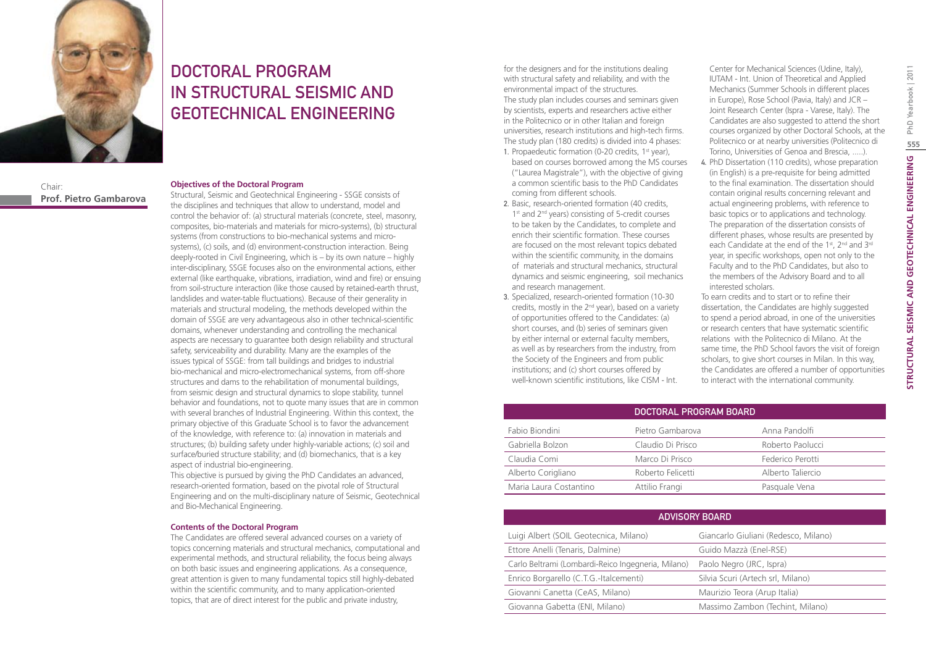

DOCTORAL PROGRAM IN STRUCTURAL SEISMIC AND GEOTECHNICAL ENGINEERING

Chair: **Prof. Pietro Gambarova**

#### **Objectives of the Doctoral Program**

Structural, Seismic and Geotechnical Engineering - SSGE consists of the disciplines and techniques that allow to understand, model and control the behavior of: (a) structural materials (concrete, steel, masonry, composites, bio-materials and materials for micro-systems), (b) structural systems (from constructions to bio-mechanical systems and microsystems), (c) soils, and (d) environment-construction interaction. Being deeply-rooted in Civil Engineering, which is – by its own nature – highly inter-disciplinary, SSGE focuses also on the environmental actions, either external (like earthquake, vibrations, irradiation, wind and fire) or ensuing from soil-structure interaction (like those caused by retained-earth thrust, landslides and water-table fluctuations). Because of their generality in materials and structural modeling, the methods developed within the domain of SSGE are very advantageous also in other technical-scientific domains, whenever understanding and controlling the mechanical aspects are necessary to guarantee both design reliability and structural safety, serviceability and durability. Many are the examples of the issues typical of SSGE: from tall buildings and bridges to industrial bio-mechanical and micro-electromechanical systems, from off-shore structures and dams to the rehabilitation of monumental buildings, from seismic design and structural dynamics to slope stability, tunnel behavior and foundations, not to quote many issues that are in common with several branches of Industrial Engineering. Within this context, the primary objective of this Graduate School is to favor the advancement of the knowledge, with reference to: (a) innovation in materials and structures; (b) building safety under highly-variable actions; (c) soil and surface/buried structure stability; and (d) biomechanics, that is a key aspect of industrial bio-engineering.

This objective is pursued by giving the PhD Candidates an advanced, research-oriented formation, based on the pivotal role of Structural Engineering and on the multi-disciplinary nature of Seismic, Geotechnical and Bio-Mechanical Engineering.

#### **Contents of the Doctoral Program**

The Candidates are offered several advanced courses on a variety of topics concerning materials and structural mechanics, computational and experimental methods, and structural reliability, the focus being always on both basic issues and engineering applications. As a consequence, great attention is given to many fundamental topics still highly-debated within the scientific community, and to many application-oriented topics, that are of direct interest for the public and private industry,

for the designers and for the institutions dealing with structural safety and reliability, and with the environmental impact of the structures. The study plan includes courses and seminars given by scientists, experts and researchers active either in the Politecnico or in other Italian and foreign universities, research institutions and high-tech firms. The study plan (180 credits) is divided into 4 phases:

- 1. Propaedeutic formation (0-20 credits,  $1<sup>st</sup>$  year), based on courses borrowed among the MS courses ("Laurea Magistrale"), with the objective of giving a common scientific basis to the PhD Candidates coming from different schools.
- 2. Basic, research-oriented formation (40 credits, 1<sup>st</sup> and 2<sup>nd</sup> years) consisting of 5-credit courses to be taken by the Candidates, to complete and enrich their scientific formation. These courses are focused on the most relevant topics debated within the scientific community, in the domains of materials and structural mechanics, structural dynamics and seismic engineering, soil mechanics and research management.
- 3. Specialized, research-oriented formation (10-30 credits, mostly in the 2<sup>nd</sup> year), based on a variety of opportunities offered to the Candidates: (a) short courses, and (b) series of seminars given by either internal or external faculty members, as well as by researchers from the industry, from the Society of the Engineers and from public institutions; and (c) short courses offered by well-known scientific institutions, like CISM - Int.

Center for Mechanical Sciences (Udine, Italy), IUTAM - Int. Union of Theoretical and Applied Mechanics (Summer Schools in different places in Europe), Rose School (Pavia, Italy) and JCR – Joint Research Center (Ispra - Varese, Italy). The Candidates are also suggested to attend the short courses organized by other Doctoral Schools, at the Politecnico or at nearby universities (Politecnico di Torino, Universities of Genoa and Brescia, .....).

4. PhD Dissertation (110 credits), whose preparation (in English) is a pre-requisite for being admitted to the final examination. The dissertation should contain original results concerning relevant and actual engineering problems, with reference to basic topics or to applications and technology. The preparation of the dissertation consists of different phases, whose results are presented by each Candidate at the end of the 1st, 2<sup>nd</sup> and 3<sup>rd</sup> year, in specific workshops, open not only to the Faculty and to the PhD Candidates, but also to the members of the Advisory Board and to all interested scholars.

To earn credits and to start or to refine their dissertation, the Candidates are highly suggested to spend a period abroad, in one of the universities or research centers that have systematic scientific relations with the Politecnico di Milano. At the same time, the PhD School favors the visit of foreign scholars, to give short courses in Milan. In this way, the Candidates are offered a number of opportunities to interact with the international community.

|                        | DOCTORAL PROGRAM BOARD |                   |
|------------------------|------------------------|-------------------|
| Fabio Biondini         | Pietro Gambarova       | Anna Pandolfi     |
| Gabriella Bolzon       | Claudio Di Prisco      | Roberto Paolucci  |
| Claudia Comi           | Marco Di Prisco        | Federico Perotti  |
| Alberto Corigliano     | Roberto Felicetti      | Alberto Taliercio |
| Maria Laura Costantino | Attilio Frangi         | Pasquale Vena     |

| <b>ADVISORY BOARD</b>                              |                                      |  |
|----------------------------------------------------|--------------------------------------|--|
| Luigi Albert (SOIL Geotecnica, Milano)             | Giancarlo Giuliani (Redesco, Milano) |  |
| Ettore Anelli (Tenaris, Dalmine)                   | Guido Mazzà (Enel-RSE)               |  |
| Carlo Beltrami (Lombardi-Reico Ingegneria, Milano) | Paolo Negro (JRC, Ispra)             |  |
| Enrico Borgarello (C.T.G.-Italcementi)             | Silvia Scuri (Artech srl, Milano)    |  |
| Giovanni Canetta (CeAS, Milano)                    | Maurizio Teora (Arup Italia)         |  |
| Giovanna Gabetta (ENI, Milano)                     | Massimo Zambon (Techint, Milano)     |  |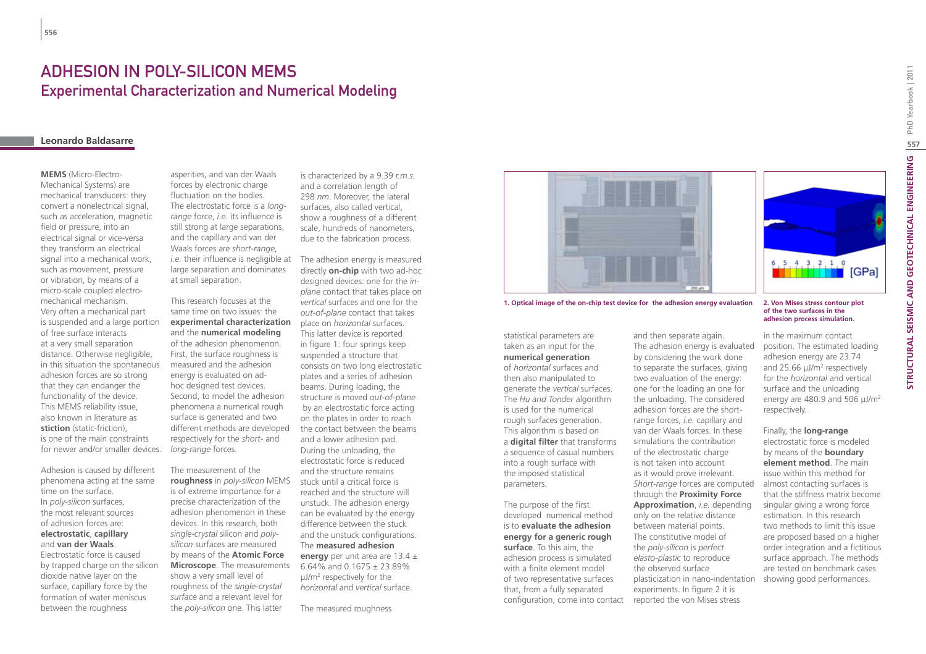## Adhesion in Poly-Silicon MEMS Experimental Characterization and Numerical Modeling

### **Leonardo Baldasarre**

### **MEMS** (Micro-Electro-Mechanical Systems) are mechanical transducers: they convert a nonelectrical signal, such as acceleration, magnetic field or pressure, into an electrical signal or vice-versa they transform an electrical signal into a mechanical work, such as movement, pressure or vibration, by means of a micro-scale coupled electromechanical mechanism. Very often a mechanical part is suspended and a large portion of free surface interacts at a very small separation distance. Otherwise negligible, in this situation the spontaneous adhesion forces are so strong that they can endanger the functionality of the device. This MEMS reliability issue, also known in literature as **stiction** (static-friction), is one of the main constraints for newer and/or smaller devices.

Adhesion is caused by different phenomena acting at the same time on the surface. In *poly-silicon* surfaces, the most relevant sources of adhesion forces are: **electrostatic**, **capillary** and **van der Waals**. Electrostatic force is caused by trapped charge on the silicon

dioxide native layer on the surface, capillary force by the formation of water meniscus between the roughness

asperities, and van der Waals forces by electronic charge fluctuation on the bodies. The electrostatic force is a *longrange* force, *i.e.* its influence is still strong at large separations, and the capillary and van der Waals forces are *short-range*, *i.e.* their influence is negligible at large separation and dominates at small separation.

This research focuses at the same time on two issues: the **experimental characterization** and the **numerical modeling** of the adhesion phenomenon. First, the surface roughness is measured and the adhesion energy is evaluated on adhoc designed test devices. Second, to model the adhesion phenomena a numerical rough surface is generated and two different methods are developed respectively for the *short-* and *long-range* forces.

The measurement of the **roughness** in *poly-silicon* MEMS is of extreme importance for a precise characterization of the adhesion phenomenon in these devices. In this research, both *single-crystal* silicon and *polysilicon* surfaces are measured by means of the **Atomic Force Microscope**. The measurements show a very small level of roughness of the *single-crystal surface* and a relevant level for the *poly-silicon* one. This latter

is characterized by a 9.39 *r.m.s.* and a correlation length of 298 *nm*. Moreover, the lateral surfaces, also called vertical, show a roughness of a different scale, hundreds of nanometers, due to the fabrication process.

The adhesion energy is measured directly **on-chip** with two ad-hoc designed devices: one for the *inplane* contact that takes place on *vertical* surfaces and one for the *out-of-plane* contact that takes place on *horizontal* surfaces. This latter device is reported in figure 1: four springs keep suspended a structure that consists on two long electrostatic plates and a series of adhesion beams. During loading, the structure is moved *out-of-plane* by an electrostatic force acting on the plates in order to reach the contact between the beams and a lower adhesion pad. During the unloading, the electrostatic force is reduced and the structure remains stuck until a critical force is reached and the structure will unstuck. The adhesion energy can be evaluated by the energy difference between the stuck and the unstuck configurations. The **measured adhesion energy** per unit area are 13.4 ± 6.64% and 0.1675  $\pm$  23.89% µJ/m2 respectively for the *horizontal* and *vertical* surface.

The measured roughness



**1. Optical image of the on-chip test device for the adhesion energy evaluation 2. Von Mises stress contour plot** 

statistical parameters are taken as an input for the **numerical generation** of *horizontal* surfaces and then also manipulated to generate the *vertical* surfaces. The *Hu and Tonder* algorithm is used for the numerical rough surfaces generation. This algorithm is based on a **digital filter** that transforms a sequence of casual numbers into a rough surface with the imposed statistical parameters.

The purpose of the first developed numerical method is to **evaluate the adhesion energy for a generic rough surface**. To this aim, the adhesion process is simulated with a finite element model of two representative surfaces that, from a fully separated

and then separate again. The adhesion energy is evaluated by considering the work done to separate the surfaces, giving two evaluation of the energy: one for the loading an one for the unloading. The considered adhesion forces are the shortrange forces, *i.e.* capillary and van der Waals forces. In these simulations the contribution of the electrostatic charge is not taken into account as it would prove irrelevant. *Short-range* forces are computed through the **Proximity Force Approximation**, *i.e.* depending only on the relative distance between material points. The constitutive model of the *poly-silicon* is *perfect elasto-plastic* to reproduce the observed surface plasticization in nano-indentation experiments. In figure 2 it is

configuration, come into contact reported the von Mises stress



### **of the two surfaces in the adhesion process simulation.**

in the maximum contact position. The estimated loading adhesion energy are 23.74 and 25.66  $\mu$ J/m<sup>2</sup> respectively for the *horizontal* and vertical surface and the unloading energy are 480.9 and 506 µJ/m<sup>2</sup> respectively.

#### Finally, the **long-range**

electrostatic force is modeled by means of the **boundary element method**. The main issue within this method for almost contacting surfaces is that the stiffness matrix become singular giving a wrong force estimation. In this research two methods to limit this issue are proposed based on a higher order integration and a fictitious surface approach. The methods are tested on benchmark cases showing good performances.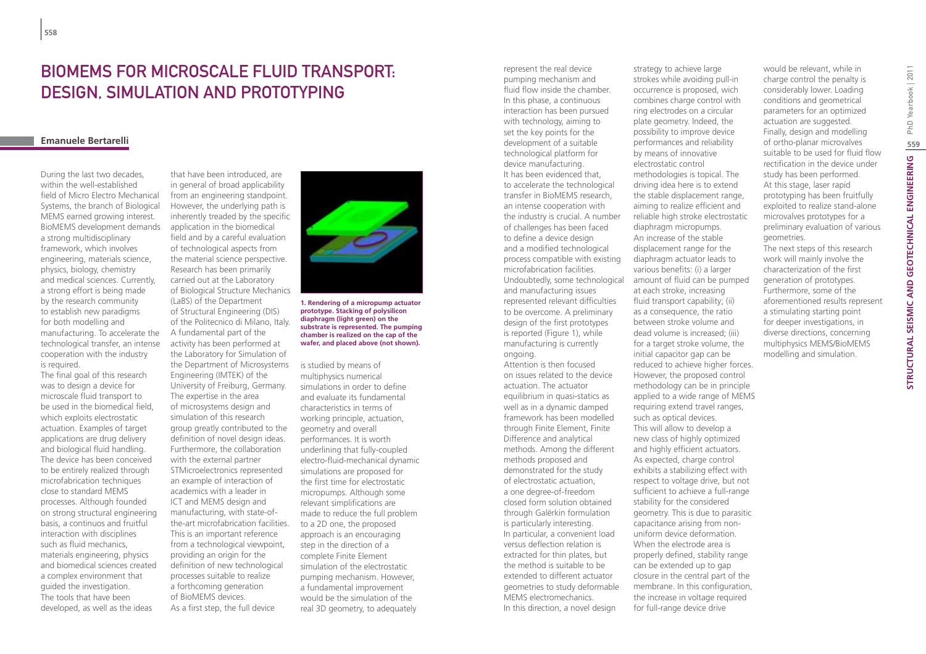# BIOMEMS FOR MICROSCALE FILUID TRANSPORT design, simulation and prototyping

### **Emanuele Bertarelli**

During the last two decades, within the well-established field of Micro Electro Mechanical Systems, the branch of Biological MEMS earned growing interest. BioMEMS development demands a strong multidisciplinary framework, which involves engineering, materials science, physics, biology, chemistry and medical sciences. Currently, a strong effort is being made by the research community to establish new paradigms for both modelling and manufacturing. To accelerate the technological transfer, an intense cooperation with the industry is required.

The final goal of this research was to design a device for microscale fluid transport to be used in the biomedical field, which exploits electrostatic actuation. Examples of target applications are drug delivery and biological fluid handling. The device has been conceived to be entirely realized through microfabrication techniques close to standard MEMS processes. Although founded on strong structural engineering basis, a continuos and fruitful interaction with disciplines such as fluid mechanics, materials engineering, physics and biomedical sciences created a complex environment that guided the investigation. The tools that have been developed, as well as the ideas

that have been introduced, are in general of broad applicability from an engineering standpoint. However, the underlying path is inherently treaded by the specific application in the biomedical field and by a careful evaluation of technological aspects from the material science perspective. Research has been primarily carried out at the Laboratory of Biological Structure Mechanics (LaBS) of the Department of Structural Engineering (DIS) of the Politecnico di Milano, Italy. A fundamental part of the activity has been performed at the Laboratory for Simulation of the Department of Microsystems Engineering (IMTEK) of the University of Freiburg, Germany. The expertise in the area of microsystems design and simulation of this research group greatly contributed to the definition of novel design ideas. Furthermore, the collaboration with the external partner STMicroelectronics represented an example of interaction of academics with a leader in ICT and MEMS design and manufacturing, with state-ofthe-art microfabrication facilities. This is an important reference from a technological viewpoint, providing an origin for the definition of new technological processes suitable to realize a forthcoming generation of BioMEMS devices. As a first step, the full device



**1. Rendering of a micropump actuator prototype. Stacking of polysilicon diaphragm (light green) on the substrate is represented. The pumping chamber is realized on the cap of the wafer, and placed above (not shown).**

is studied by means of multiphysics numerical simulations in order to define and evaluate its fundamental characteristics in terms of working principle, actuation, geometry and overall performances. It is worth underlining that fully-coupled electro-fluid-mechanical dynamic simulations are proposed for the first time for electrostatic micropumps. Although some relevant simplifications are made to reduce the full problem to a 2D one, the proposed approach is an encouraging step in the direction of a complete Finite Element simulation of the electrostatic pumping mechanism. However, a fundamental improvement would be the simulation of the real 3D geometry, to adequately

represent the real device pumping mechanism and fluid flow inside the chamber. In this phase, a continuous interaction has been pursued with technology, aiming to set the key points for the development of a suitable technological platform for device manufacturing. It has been evidenced that, to accelerate the technological transfer in BioMEMS research, an intense cooperation with the industry is crucial. A number of challenges has been faced to define a device design and a modified technological process compatible with existing microfabrication facilities. Undoubtedly, some technological and manufacturing issues represented relevant difficulties to be overcome. A preliminary design of the first prototypes is reported (Figure 1), while manufacturing is currently ongoing. Attention is then focused

on issues related to the device actuation. The actuator equilibrium in quasi-statics as well as in a dynamic damped framework has been modelled through Finite Element, Finite Difference and analytical methods. Among the different methods proposed and demonstrated for the study of electrostatic actuation, a one degree-of-freedom closed form solution obtained through Galërkin formulation is particularly interesting. In particular, a convenient load versus deflection relation is extracted for thin plates, but the method is suitable to be extended to different actuator geometries to study deformable MEMS electromechanics. In this direction, a novel design

strokes while avoiding pull-in occurrence is proposed, wich

combines charge control with ring electrodes on a circular plate geometry. Indeed, the possibility to improve device performances and reliability by means of innovative electrostatic control methodologies is topical. The driving idea here is to extend the stable displacement range, aiming to realize efficient and reliable high stroke electrostatic diaphragm micropumps. An increase of the stable displacement range for the diaphragm actuator leads to various benefits: (i) a larger amount of fluid can be pumped at each stroke, increasing fluid transport capability; (ii) as a consequence, the ratio between stroke volume and dead volume is increased; (iii) for a target stroke volume, the initial capacitor gap can be reduced to achieve higher forces. However, the proposed control methodology can be in principle applied to a wide range of MEMS requiring extend travel ranges, such as optical devices. This will allow to develop a new class of highly optimized and highly efficient actuators. As expected, charge control exhibits a stabilizing effect with respect to voltage drive, but not sufficient to achieve a full-range stability for the considered geometry. This is due to parasitic capacitance arising from nonuniform device deformation. When the electrode area is properly defined, stability range can be extended up to gap closure in the central part of the membrane. In this configuration, the increase in voltage required for full-range device drive

strategy to achieve large

would be relevant, while in charge control the penalty is considerably lower. Loading conditions and geometrical parameters for an optimized actuation are suggested. Finally, design and modelling of ortho-planar microvalves suitable to be used for fluid flow rectification in the device under study has been performed. At this stage, laser rapid prototyping has been fruitfully exploited to realize stand-alone microvalves prototypes for a preliminary evaluation of various geometries.

The next steps of this research work will mainly involve the characterization of the first generation of prototypes. Furthermore, some of the aforementioned results represent a stimulating starting point for deeper investigations, in diverse directions, concerning multiphysics MEMS/BioMEMS modelling and simulation.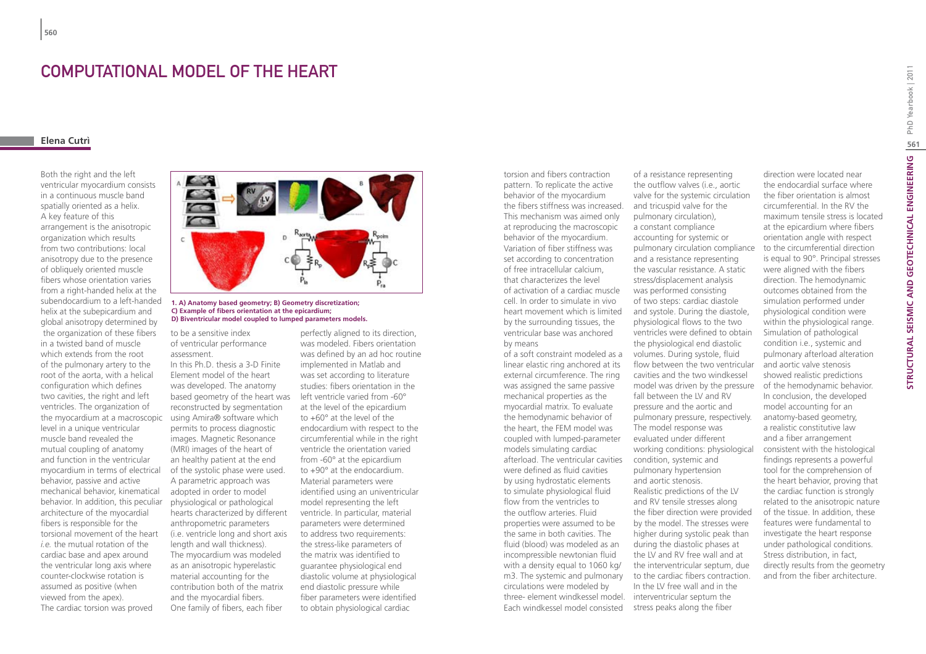### Computational model of the heart

### **Elena Cutrì**

**560**

Both the right and the left ventricular myocardium consists in a continuous muscle band spatially oriented as a helix. A key feature of this arrangement is the anisotropic organization which results from two contributions: local anisotropy due to the presence of obliquely oriented muscle fibers whose orientation varies from a right-handed helix at the subendocardium to a left-handed helix at the subepicardium and global anisotropy determined by the organization of these fibers in a twisted band of muscle which extends from the root of the pulmonary artery to the root of the aorta, with a helical configuration which defines two cavities, the right and left ventricles. The organization of the myocardium at a macroscopic level in a unique ventricular muscle band revealed the mutual coupling of anatomy and function in the ventricular myocardium in terms of electrical behavior, passive and active mechanical behavior, kinematical behavior. In addition, this peculiar architecture of the myocardial fibers is responsible for the torsional movement of the heart *i.e.* the mutual rotation of the cardiac base and apex around the ventricular long axis where counter-clockwise rotation is assumed as positive (when viewed from the apex). The cardiac torsion was proved



#### **1. A) Anatomy based geometry; B) Geometry discretization; C) Example of fibers orientation at the epicardium; D) Biventricular model coupled to lumped parameters models.**

to be a sensitive index of ventricular performance assessment.

In this Ph.D. thesis a 3-D Finite Element model of the heart was developed. The anatomy based geometry of the heart was reconstructed by segmentation using Amira® software which permits to process diagnostic images. Magnetic Resonance (MRI) images of the heart of an healthy patient at the end of the systolic phase were used. A parametric approach was adopted in order to model physiological or pathological hearts characterized by different anthropometric parameters (i.e. ventricle long and short axis length and wall thickness). The myocardium was modeled as an anisotropic hyperelastic material accounting for the contribution both of the matrix and the myocardial fibers. One family of fibers, each fiber

perfectly aligned to its direction, was modeled. Fibers orientation was defined by an ad hoc routine implemented in Matlab and was set according to literature studies: fibers orientation in the left ventricle varied from -60° at the level of the epicardium to +60° at the level of the endocardium with respect to the circumferential while in the right ventricle the orientation varied from -60° at the epicardium to +90° at the endocardium. Material parameters were identified using an univentricular model representing the left ventricle. In particular, material parameters were determined to address two requirements: the stress-like parameters of the matrix was identified to guarantee physiological end diastolic volume at physiological end diastolic pressure while fiber parameters were identified to obtain physiological cardiac

torsion and fibers contraction pattern. To replicate the active behavior of the myocardium the fibers stiffness was increased. This mechanism was aimed only at reproducing the macroscopic behavior of the myocardium. Variation of fiber stiffness was set according to concentration of free intracellular calcium, that characterizes the level of activation of a cardiac muscle cell. In order to simulate in vivo heart movement which is limited by the surrounding tissues, the ventricular base was anchored by means

of a soft constraint modeled as a linear elastic ring anchored at its external circumference. The ring was assigned the same passive mechanical properties as the myocardial matrix. To evaluate the hemodynamic behavior of the heart, the FEM model was coupled with lumped-parameter models simulating cardiac afterload. The ventricular cavities were defined as fluid cavities by using hydrostatic elements to simulate physiological fluid flow from the ventricles to the outflow arteries. Fluid properties were assumed to be the same in both cavities. The fluid (blood) was modeled as an incompressible newtonian fluid with a density equal to 1060 kg/ m3. The systemic and pulmonary circulations were modeled by three- element windkessel model. interventricular septum the Each windkessel model consisted

of a resistance representing the outflow valves (i.e., aortic valve for the systemic circulation and tricuspid valve for the pulmonary circulation), a constant compliance accounting for systemic or pulmonary circulation compliance and a resistance representing the vascular resistance. A static stress/displacement analysis was performed consisting of two steps: cardiac diastole and systole. During the diastole, physiological flows to the two ventricles were defined to obtain the physiological end diastolic volumes. During systole, fluid flow between the two ventricular cavities and the two windkessel model was driven by the pressure fall between the LV and RV pressure and the aortic and pulmonary pressure, respectively. The model response was evaluated under different working conditions: physiological condition, systemic and pulmonary hypertension and aortic stenosis. Realistic predictions of the LV and RV tensile stresses along the fiber direction were provided by the model. The stresses were higher during systolic peak than during the diastolic phases at the LV and RV free wall and at the interventricular septum, due to the cardiac fibers contraction. In the LV free wall and in the

stress peaks along the fiber

direction were located near the endocardial surface where the fiber orientation is almost circumferential. In the RV the maximum tensile stress is located at the epicardium where fibers orientation angle with respect to the circumferential direction is equal to 90°. Principal stresses were aligned with the fibers direction. The hemodynamic outcomes obtained from the simulation performed under physiological condition were within the physiological range. Simulation of pathological condition i.e., systemic and pulmonary afterload alteration and aortic valve stenosis showed realistic predictions of the hemodynamic behavior. In conclusion, the developed model accounting for an anatomy-based geometry, a realistic constitutive law and a fiber arrangement consistent with the histological findings represents a powerful tool for the comprehension of the heart behavior, proving that the cardiac function is strongly related to the anisotropic nature of the tissue. In addition, these features were fundamental to investigate the heart response under pathological conditions. Stress distribution, in fact, directly results from the geometry and from the fiber architecture.

**561**

PhD Yearbook | 2011

**STRUCTURAL SEISMIC AND GEOTECHNICAL ENGINEERING** PhD Yearbook | 2011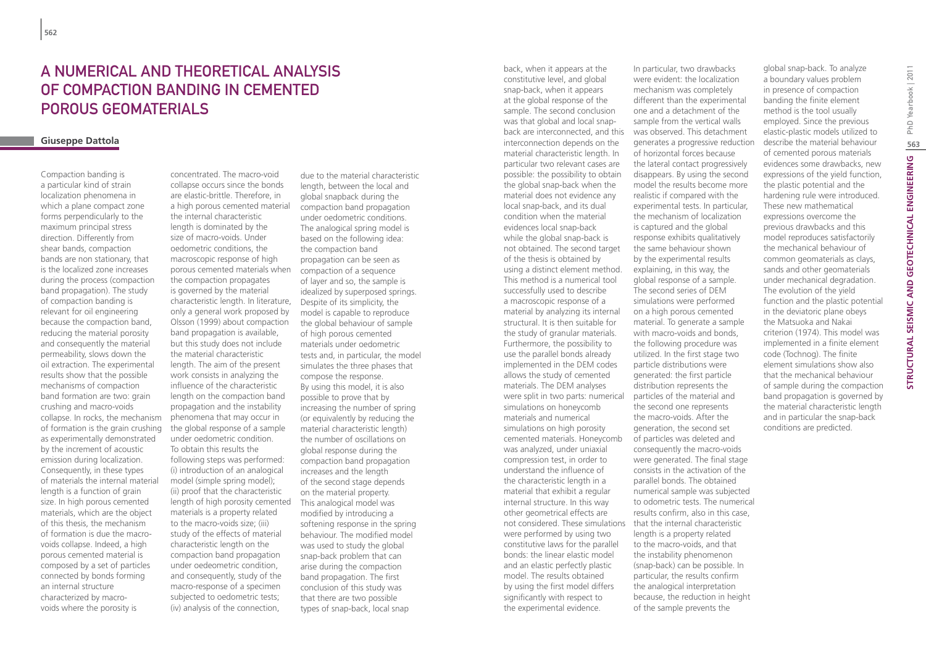## A numerical and theoretical analysis of compaction banding in cemented porous geomaterials

#### **Giuseppe Dattola**

Compaction banding is a particular kind of strain localization phenomena in which a plane compact zone forms perpendicularly to the maximum principal stress direction. Differently from shear bands, compaction bands are non stationary, that is the localized zone increases during the process (compaction band propagation). The study of compaction banding is relevant for oil engineering because the compaction band, reducing the material porosity and consequently the material permeability, slows down the oil extraction. The experimental results show that the possible mechanisms of compaction band formation are two: grain crushing and macro-voids collapse. In rocks, the mechanism of formation is the grain crushing as experimentally demonstrated by the increment of acoustic emission during localization. Consequently, in these types of materials the internal material length is a function of grain size. In high porous cemented materials, which are the object of this thesis, the mechanism of formation is due the macrovoids collapse. Indeed, a high porous cemented material is composed by a set of particles connected by bonds forming an internal structure characterized by macrovoids where the porosity is

concentrated. The macro-void collapse occurs since the bonds are elastic-brittle. Therefore, in a high porous cemented material the internal characteristic length is dominated by the size of macro-voids. Under oedometric conditions, the macroscopic response of high porous cemented materials when the compaction propagates is governed by the material characteristic length. In literature, Despite of its simplicity, the only a general work proposed by Olsson (1999) about compaction band propagation is available, but this study does not include the material characteristic length. The aim of the present work consists in analyzing the influence of the characteristic length on the compaction band propagation and the instability phenomena that may occur in the global response of a sample under oedometric condition. To obtain this results the following steps was performed: (i) introduction of an analogical model (simple spring model); (ii) proof that the characteristic length of high porosity cemented materials is a property related to the macro-voids size; (iii) study of the effects of material characteristic length on the compaction band propagation under oedeometric condition, and consequently, study of the macro-response of a specimen subjected to oedometric tests; (iv) analysis of the connection,

due to the material characteristic length, between the local and global snapback during the compaction band propagation under oedometric conditions. The analogical spring model is based on the following idea: the compaction band propagation can be seen as compaction of a sequence of layer and so, the sample is idealized by superposed springs. model is capable to reproduce the global behaviour of sample of high porous cemented materials under oedometric tests and, in particular, the model simulates the three phases that compose the response. By using this model, it is also possible to prove that by increasing the number of spring (or equivalently by reducing the material characteristic length) the number of oscillations on global response during the compaction band propagation increases and the length of the second stage depends on the material property. This analogical model was modified by introducing a softening response in the spring behaviour. The modified model was used to study the global snap-back problem that can arise during the compaction band propagation. The first conclusion of this study was that there are two possible types of snap-back, local snap

back, when it appears at the constitutive level, and global snap-back, when it appears at the global response of the sample. The second conclusion was that global and local snapback are interconnected, and this interconnection depends on the material characteristic length. In particular two relevant cases are possible: the possibility to obtain the global snap-back when the material does not evidence any local snap-back, and its dual condition when the material evidences local snap-back while the global snap-back is not obtained. The second target of the thesis is obtained by using a distinct element method. This method is a numerical tool successfully used to describe a macroscopic response of a material by analyzing its internal structural. It is then suitable for the study of granular materials. Furthermore, the possibility to use the parallel bonds already implemented in the DEM codes allows the study of cemented materials. The DEM analyses were split in two parts: numerical simulations on honeycomb materials and numerical simulations on high porosity cemented materials. Honeycomb was analyzed, under uniaxial compression test, in order to understand the influence of the characteristic length in a material that exhibit a regular internal structure. In this way other geometrical effects are not considered. These simulations were performed by using two constitutive laws for the parallel bonds: the linear elastic model and an elastic perfectly plastic model. The results obtained by using the first model differs significantly with respect to the experimental evidence.

In particular, two drawbacks were evident: the localization mechanism was completely different than the experimental one and a detachment of the sample from the vertical walls was observed. This detachment generates a progressive reduction of horizontal forces because the lateral contact progressively disappears. By using the second model the results become more realistic if compared with the experimental tests. In particular, the mechanism of localization is captured and the global response exhibits qualitatively the same behaviour shown by the experimental results explaining, in this way, the global response of a sample. The second series of DEM simulations were performed on a high porous cemented material. To generate a sample with macro-voids and bonds, the following procedure was utilized. In the first stage two particle distributions were generated: the first particle distribution represents the particles of the material and the second one represents the macro-voids. After the generation, the second set of particles was deleted and consequently the macro-voids were generated. The final stage consists in the activation of the parallel bonds. The obtained numerical sample was subjected to odometric tests. The numerical results confirm, also in this case, that the internal characteristic length is a property related to the macro-voids, and that the instability phenomenon (snap-back) can be possible. In particular, the results confirm the analogical interpretation because, the reduction in height of the sample prevents the

global snap-back. To analyze a boundary values problem in presence of compaction banding the finite element method is the tool usually employed. Since the previous elastic-plastic models utilized to describe the material behaviour of cemented porous materials evidences some drawbacks, new expressions of the yield function, the plastic potential and the hardening rule were introduced. These new mathematical expressions overcome the previous drawbacks and this model reproduces satisfactorily the mechanical behaviour of common geomaterials as clays, sands and other geomaterials under mechanical degradation. The evolution of the yield function and the plastic potential in the deviatoric plane obeys the Matsuoka and Nakai criterion (1974). This model was implemented in a finite element code (Tochnog). The finite element simulations show also that the mechanical behaviour of sample during the compaction band propagation is governed by the material characteristic length and in particular the snap-back conditions are predicted.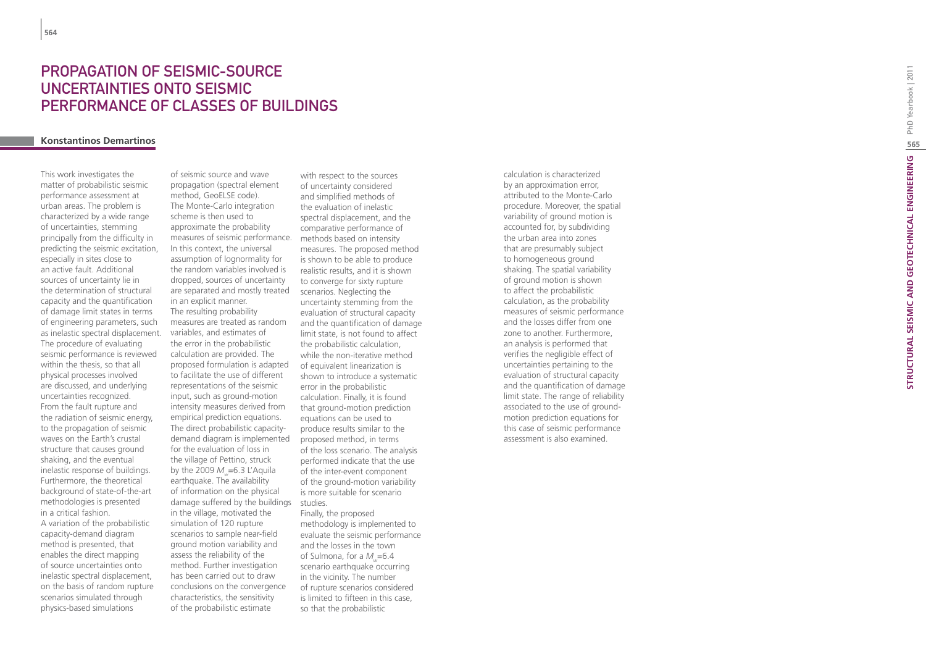# **PROPAGATION OF SE<br>UNCERTAINTIES ON<br>PERFORMANCE OF (<br>Konstantinos Demartinos** PROPAGATION OF SEISMIC-SOURCE UNCERTAINTIES ONTO SE PERFORMANCE OF CLASSES OF B

This work investigates the matter of probabilistic seismic performance assessment at urban areas. The problem is characterized by a wide range of uncertainties, stemming principally from the difficulty in predicting the seismic excitation, especially in sites close to an active fault. Additional sources of uncertainty lie in the determination of structural capacity and the quantification of damage limit states in terms of engineering parameters, such as inelastic spectral displacement. The procedure of evaluating seismic performance is reviewed within the thesis, so that all physical processes involved are discussed, and underlying uncertainties recognized. From the fault rupture and the radiation of seismic energy, to the propagation of seismic waves on the Earth's crustal structure that causes ground shaking, and the eventual inelastic response of buildings. Furthermore, the theoretical background of state-of-the-art methodologies is presented in a critical fashion. A variation of the probabilistic capacity-demand diagram method is presented, that enables the direct mapping of source uncertainties onto inelastic spectral displacement, on the basis of random rupture scenarios simulated through physics-based simulations

of seismic source and wave propagation (spectral element method, GeoELSE code). The Monte-Carlo integration scheme is then used to approximate the probability measures of seismic performance. In this context, the universal assumption of lognormality for the random variables involved is dropped, sources of uncertainty are separated and mostly treated in an explicit manner. The resulting probability measures are treated as random variables, and estimates of the error in the probabilistic calculation are provided. The proposed formulation is adapted to facilitate the use of different representations of the seismic input, such as ground-motion intensity measures derived from empirical prediction equations. The direct probabilistic capacitydemand diagram is implemented for the evaluation of loss in the village of Pettino, struck by the 2009 *M <sup>w</sup>*=6.3 L'Aquila earthquake. The availability of information on the physical damage suffered by the buildings studies. in the village, motivated the simulation of 120 rupture scenarios to sample near-field ground motion variability and assess the reliability of the method. Further investigation has been carried out to draw conclusions on the convergence characteristics, the sensitivity of the probabilistic estimate

with respect to the sources of uncertainty considered and simplified methods of the evaluation of inelastic spectral displacement, and the comparative performance of methods based on intensity measures. The proposed method is shown to be able to produce realistic results, and it is shown to converge for sixty rupture scenarios. Neglecting the uncertainty stemming from the evaluation of structural capacity and the quantification of damage limit state, is not found to affect the probabilistic calculation, while the non-iterative method of equivalent linearization is shown to introduce a systematic error in the probabilistic calculation. Finally, it is found that ground-motion prediction equations can be used to produce results similar to the proposed method, in terms of the loss scenario. The analysis performed indicate that the use of the inter-event component of the ground-motion variability is more suitable for scenario

Finally, the proposed methodology is implemented to evaluate the seismic performance and the losses in the town of Sulmona, for a *M <sup>w</sup>*=6.4 scenario earthquake occurring in the vicinity. The number of rupture scenarios considered is limited to fifteen in this case, so that the probabilistic

calculation is characterized by an approximation error, attributed to the Monte-Carlo procedure. Moreover, the spatial variability of ground motion is accounted for, by subdividing the urban area into zones that are presumably subject to homogeneous ground shaking. The spatial variability of ground motion is shown to affect the probabilistic calculation, as the probability measures of seismic performance and the losses differ from one zone to another. Furthermore, an analysis is performed that verifies the negligible effect of uncertainties pertaining to the evaluation of structural capacity and the quantification of damage limit state. The range of reliability associated to the use of groundmotion prediction equations for this case of seismic performance assessment is also examined.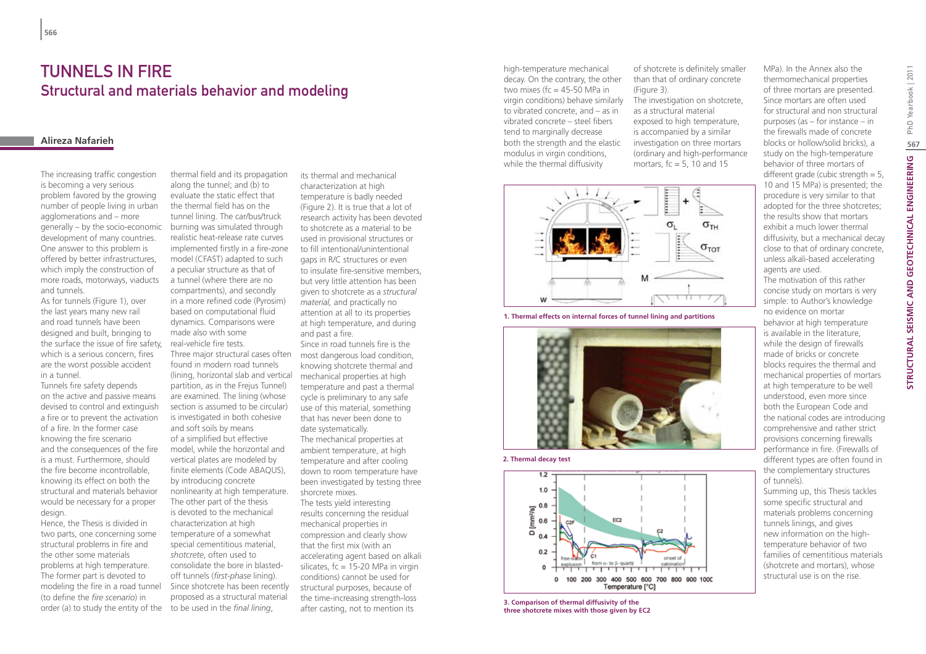### TUNNELS IN FIRE Structural and materials behavior and modeling

### **Alireza Nafarieh**

The increasing traffic congestion is becoming a very serious problem favored by the growing number of people living in urban agglomerations and – more generally – by the socio-economic development of many countries. One answer to this problem is offered by better infrastructures, which imply the construction of more roads, motorways, viaducts and tunnels.

As for tunnels (Figure 1), over the last years many new rail and road tunnels have been designed and built, bringing to the surface the issue of fire safety, which is a serious concern, fires are the worst possible accident in a tunnel.

Tunnels fire safety depends on the active and passive means devised to control and extinguish a fire or to prevent the activation of a fire. In the former case knowing the fire scenario and the consequences of the fire is a must. Furthermore, should the fire become incontrollable, knowing its effect on both the structural and materials behavior would be necessary for a proper design.

Hence, the Thesis is divided in two parts, one concerning some structural problems in fire and the other some materials problems at high temperature. The former part is devoted to modeling the fire in a road tunnel (to define the *fire scenario*) in order (a) to study the entity of the to be used in the *final lining*,

thermal field and its propagation along the tunnel; and (b) to evaluate the static effect that the thermal field has on the tunnel lining. The car/bus/truck burning was simulated through realistic heat-release rate curves implemented firstly in a fire-zone model (CFAST) adapted to such a peculiar structure as that of a tunnel (where there are no compartments), and secondly in a more refined code (Pyrosim) based on computational fluid dynamics. Comparisons were made also with some real-vehicle fire tests. found in modern road tunnels (lining, horizontal slab and vertical partition, as in the Frejus Tunnel) are examined. The lining (whose section is assumed to be circular) is investigated in both cohesive and soft soils by means of a simplified but effective model, while the horizontal and vertical plates are modeled by finite elements (Code ABAQUS), by introducing concrete nonlinearity at high temperature. The other part of the thesis is devoted to the mechanical characterization at high temperature of a somewhat special cementitious material, *shotcrete*, often used to consolidate the bore in blastedoff tunnels (*first-phase* lining). Since shotcrete has been recently proposed as a structural material

its thermal and mechanical characterization at high temperature is badly needed (Figure 2). It is true that a lot of research activity has been devoted to shotcrete as a material to be used in provisional structures or to fill intentional/unintentional gaps in R/C structures or even to insulate fire-sensitive members, but very little attention has been given to shotcrete as a *structural material,* and practically no attention at all to its properties at high temperature, and during and past a fire.

Three major structural cases often most dangerous load condition, Since in road tunnels fire is the knowing shotcrete thermal and mechanical properties at high temperature and past a thermal cycle is preliminary to any safe use of this material, something that has never been done to date systematically.

The mechanical properties at ambient temperature, at high temperature and after cooling down to room temperature have been investigated by testing three shorcrete mixes. The tests yield interesting results concerning the residual mechanical properties in compression and clearly show that the first mix (with an accelerating agent based on alkali silicates,  $fc = 15-20$  MPa in virgin conditions) cannot be used for structural purposes, because of the time-increasing strength-loss after casting, not to mention its

high-temperature mechanical decay. On the contrary, the other two mixes ( $fc = 45-50$  MPa in virgin conditions) behave similarly The investigation on shotcrete, to vibrated concrete, and – as in vibrated concrete – steel fibers tend to marginally decrease both the strength and the elastic modulus in virgin conditions, while the thermal diffusivity



of shotcrete is definitely smaller than that of ordinary concrete

as a structural material exposed to high temperature, is accompanied by a similar investigation on three mortars (ordinary and high-performance mortars,  $fc = 5$ , 10 and 15

(Figure 3).

**1. Thermal effects on internal forces of tunnel lining and partitions**







**3. Comparison of thermal diffusivity of the three shotcrete mixes with those given by EC2** MPa). In the Annex also the thermomechanical properties of three mortars are presented. Since mortars are often used for structural and non structural purposes (as – for instance – in the firewalls made of concrete blocks or hollow/solid bricks), a study on the high-temperature behavior of three mortars of different grade (cubic strength  $= 5$ , 10 and 15 MPa) is presented; the procedure is very similar to that adopted for the three shotcretes; the results show that mortars exhibit a much lower thermal diffusivity, but a mechanical decay close to that of ordinary concrete, unless alkali-based accelerating agents are used.

The motivation of this rather concise study on mortars is very simple: to Author's knowledge no evidence on mortar behavior at high temperature is available in the literature, while the design of firewalls made of bricks or concrete blocks requires the thermal and mechanical properties of mortars at high temperature to be well understood, even more since both the European Code and the national codes are introducing comprehensive and rather strict provisions concerning firewalls performance in fire. (Firewalls of different types are often found in the complementary structures of tunnels).

Summing up, this Thesis tackles some specific structural and materials problems concerning tunnels linings, and gives new information on the hightemperature behavior of two families of cementitious materials (shotcrete and mortars), whose structural use is on the rise.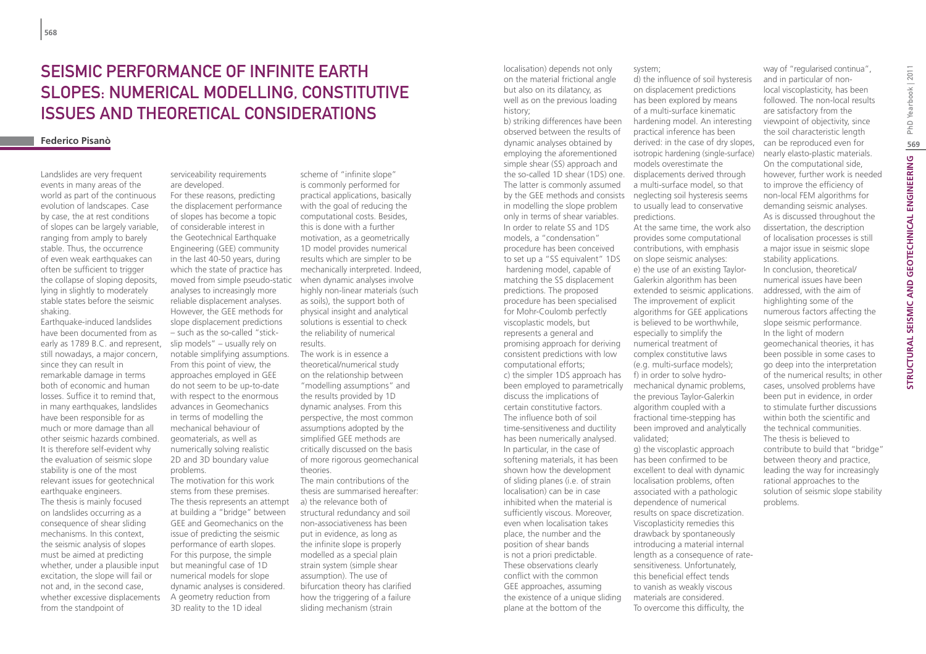# Seismic performance of infinite earth slopes: numerical modelling, constitutive issues and theoretical considerations

### **Federico Pisanò**

Landslides are very frequent events in many areas of the world as part of the continuous evolution of landscapes. Case by case, the at rest conditions of slopes can be largely variable, ranging from amply to barely stable. Thus, the occurrence of even weak earthquakes can often be sufficient to trigger the collapse of sloping deposits, lying in slightly to moderately stable states before the seismic shaking.

Earthquake-induced landslides have been documented from as early as 1789 B.C. and represent, still nowadays, a major concern, since they can result in remarkable damage in terms both of economic and human losses. Suffice it to remind that, in many earthquakes, landslides have been responsible for as much or more damage than all other seismic hazards combined. It is therefore self-evident why the evaluation of seismic slope stability is one of the most relevant issues for geotechnical earthquake engineers.

The thesis is mainly focused on landslides occurring as a consequence of shear sliding mechanisms. In this context, the seismic analysis of slopes must be aimed at predicting whether, under a plausible input excitation, the slope will fail or not and, in the second case, whether excessive displacements from the standpoint of

serviceability requirements are developed. For these reasons, predicting

the displacement performance of slopes has become a topic of considerable interest in the Geotechnical Earthquake Engineering (GEE) community in the last 40-50 years, during which the state of practice has moved from simple pseudo-static analyses to increasingly more reliable displacement analyses. However, the GEE methods for slope displacement predictions – such as the so-called "stickslip models" – usually rely on notable simplifying assumptions. From this point of view, the approaches employed in GEE do not seem to be up-to-date with respect to the enormous advances in Geomechanics in terms of modelling the mechanical behaviour of geomaterials, as well as numerically solving realistic 2D and 3D boundary value problems.

The motivation for this work stems from these premises. The thesis represents an attempt a) the relevance both of at building a "bridge" between GEE and Geomechanics on the issue of predicting the seismic performance of earth slopes. For this purpose, the simple but meaningful case of 1D numerical models for slope dynamic analyses is considered. A geometry reduction from 3D reality to the 1D ideal

scheme of "infinite slope" is commonly performed for practical applications, basically with the goal of reducing the computational costs. Besides, this is done with a further motivation, as a geometrically 1D model provides numerical results which are simpler to be mechanically interpreted. Indeed, when dynamic analyses involve highly non-linear materials (such as soils), the support both of physical insight and analytical solutions is essential to check the reliability of numerical results.

The work is in essence a theoretical/numerical study on the relationship between "modelling assumptions" and the results provided by 1D dynamic analyses. From this perspective, the most common assumptions adopted by the simplified GEE methods are critically discussed on the basis of more rigorous geomechanical theories.

The main contributions of the thesis are summarised hereafter: structural redundancy and soil non-associativeness has been put in evidence, as long as the infinite slope is properly modelled as a special plain strain system (simple shear assumption). The use of bifurcation theory has clarified how the triggering of a failure sliding mechanism (strain

localisation) depends not only on the material frictional angle but also on its dilatancy, as well as on the previous loading history;

b) striking differences have been observed between the results of dynamic analyses obtained by employing the aforementioned simple shear (SS) approach and the so-called 1D shear (1DS) one. The latter is commonly assumed by the GEE methods and consists in modelling the slope problem only in terms of shear variables. In order to relate SS and 1DS models, a "condensation" procedure has been conceived to set up a "SS equivalent" 1DS hardening model, capable of matching the SS displacement predictions. The proposed procedure has been specialised for Mohr-Coulomb perfectly viscoplastic models, but represents a general and promising approach for deriving consistent predictions with low computational efforts; c) the simpler 1DS approach has been employed to parametrically discuss the implications of certain constitutive factors. The influence both of soil time-sensitiveness and ductility has been numerically analysed. In particular, in the case of softening materials, it has been shown how the development of sliding planes (i.e. of strain localisation) can be in case inhibited when the material is sufficiently viscous. Moreover, even when localisation takes place, the number and the position of shear bands is not a priori predictable. These observations clearly conflict with the common GEE approaches, assuming the existence of a unique sliding plane at the bottom of the

system;

d) the influence of soil hysteresis on displacement predictions has been explored by means of a multi-surface kinematic hardening model. An interesting practical inference has been derived: in the case of dry slopes, isotropic hardening (single-surface) models overestimate the displacements derived through a multi-surface model, so that neglecting soil hysteresis seems to usually lead to conservative predictions. At the same time, the work also

provides some computational contributions, with emphasis on slope seismic analyses: e) the use of an existing Taylor-Galerkin algorithm has been extended to seismic applications. The improvement of explicit algorithms for GEE applications is believed to be worthwhile, especially to simplify the numerical treatment of complex constitutive laws (e.g. multi-surface models); f) in order to solve hydromechanical dynamic problems, the previous Taylor-Galerkin algorithm coupled with a fractional time-stepping has been improved and analytically validated; g) the viscoplastic approach has been confirmed to be excellent to deal with dynamic localisation problems, often associated with a pathologic dependence of numerical results on space discretization. Viscoplasticity remedies this drawback by spontaneously introducing a material internal length as a consequence of ratesensitiveness. Unfortunately, this beneficial effect tends to vanish as weakly viscous materials are considered. To overcome this difficulty, the

way of "regularised continua", and in particular of nonlocal viscoplasticity, has been followed. The non-local results are satisfactory from the viewpoint of objectivity, since the soil characteristic length can be reproduced even for nearly elasto-plastic materials. On the computational side, however, further work is needed to improve the efficiency of non-local FEM algorithms for demanding seismic analyses. As is discussed throughout the dissertation, the description of localisation processes is still a major issue in seismic slope stability applications. In conclusion, theoretical/ numerical issues have been addressed, with the aim of highlighting some of the numerous factors affecting the slope seismic performance. In the light of modern geomechanical theories, it has been possible in some cases to go deep into the interpretation of the numerical results; in other cases, unsolved problems have been put in evidence, in order to stimulate further discussions within both the scientific and the technical communities. The thesis is believed to contribute to build that "bridge" between theory and practice, leading the way for increasingly rational approaches to the solution of seismic slope stability problems.